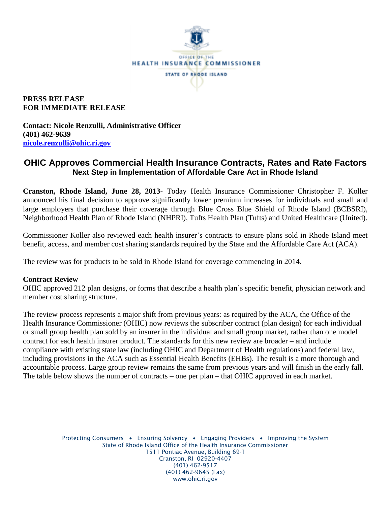

### **PRESS RELEASE FOR IMMEDIATE RELEASE**

**Contact: Nicole Renzulli, Administrative Officer (401) 462-9639 [nicole.renzulli@ohic.ri.gov](mailto:nicole.renzulli@ohic.ri.gov)**

# **OHIC Approves Commercial Health Insurance Contracts, Rates and Rate Factors Next Step in Implementation of Affordable Care Act in Rhode Island**

**Cranston, Rhode Island, June 28, 2013-** Today Health Insurance Commissioner Christopher F. Koller announced his final decision to approve significantly lower premium increases for individuals and small and large employers that purchase their coverage through Blue Cross Blue Shield of Rhode Island (BCBSRI), Neighborhood Health Plan of Rhode Island (NHPRI), Tufts Health Plan (Tufts) and United Healthcare (United).

Commissioner Koller also reviewed each health insurer's contracts to ensure plans sold in Rhode Island meet benefit, access, and member cost sharing standards required by the State and the Affordable Care Act (ACA).

The review was for products to be sold in Rhode Island for coverage commencing in 2014.

#### **Contract Review**

OHIC approved 212 plan designs, or forms that describe a health plan's specific benefit, physician network and member cost sharing structure.

The review process represents a major shift from previous years: as required by the ACA, the Office of the Health Insurance Commissioner (OHIC) now reviews the subscriber contract (plan design) for each individual or small group health plan sold by an insurer in the individual and small group market, rather than one model contract for each health insurer product. The standards for this new review are broader – and include compliance with existing state law (including OHIC and Department of Health regulations) and federal law, including provisions in the ACA such as Essential Health Benefits (EHBs). The result is a more thorough and accountable process. Large group review remains the same from previous years and will finish in the early fall. The table below shows the number of contracts – one per plan – that OHIC approved in each market.

> Protecting Consumers • Ensuring Solvency • Engaging Providers • Improving the System State of Rhode Island Office of the Health Insurance Commissioner 1511 Pontiac Avenue, Building 69-1 Cranston, RI 02920-4407 (401) 462-9517 (401) 462-9645 (Fax) www.ohic.ri.gov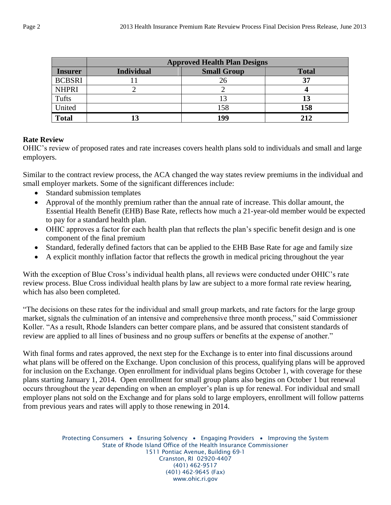|                | <b>Approved Health Plan Designs</b> |                    |              |  |
|----------------|-------------------------------------|--------------------|--------------|--|
| <b>Insurer</b> | <b>Individual</b>                   | <b>Small Group</b> | <b>Total</b> |  |
| <b>BCBSRI</b>  |                                     |                    | 37           |  |
| <b>NHPRI</b>   |                                     |                    |              |  |
| Tufts          |                                     |                    | 13           |  |
| United         |                                     | 158                | 158          |  |
| <b>Total</b>   |                                     | 199                | 212          |  |

#### **Rate Review**

OHIC's review of proposed rates and rate increases covers health plans sold to individuals and small and large employers.

Similar to the contract review process, the ACA changed the way states review premiums in the individual and small employer markets. Some of the significant differences include:

- Standard submission templates
- Approval of the monthly premium rather than the annual rate of increase. This dollar amount, the Essential Health Benefit (EHB) Base Rate, reflects how much a 21-year-old member would be expected to pay for a standard health plan.
- OHIC approves a factor for each health plan that reflects the plan's specific benefit design and is one component of the final premium
- Standard, federally defined factors that can be applied to the EHB Base Rate for age and family size
- A explicit monthly inflation factor that reflects the growth in medical pricing throughout the year

With the exception of Blue Cross's individual health plans, all reviews were conducted under OHIC's rate review process. Blue Cross individual health plans by law are subject to a more formal rate review hearing, which has also been completed.

"The decisions on these rates for the individual and small group markets, and rate factors for the large group market, signals the culmination of an intensive and comprehensive three month process," said Commissioner Koller. "As a result, Rhode Islanders can better compare plans, and be assured that consistent standards of review are applied to all lines of business and no group suffers or benefits at the expense of another."

With final forms and rates approved, the next step for the Exchange is to enter into final discussions around what plans will be offered on the Exchange. Upon conclusion of this process, qualifying plans will be approved for inclusion on the Exchange. Open enrollment for individual plans begins October 1, with coverage for these plans starting January 1, 2014. Open enrollment for small group plans also begins on October 1 but renewal occurs throughout the year depending on when an employer's plan is up for renewal. For individual and small employer plans not sold on the Exchange and for plans sold to large employers, enrollment will follow patterns from previous years and rates will apply to those renewing in 2014.

> Protecting Consumers • Ensuring Solvency • Engaging Providers • Improving the System State of Rhode Island Office of the Health Insurance Commissioner 1511 Pontiac Avenue, Building 69-1 Cranston, RI 02920-4407 (401) 462-9517 (401) 462-9645 (Fax) www.ohic.ri.gov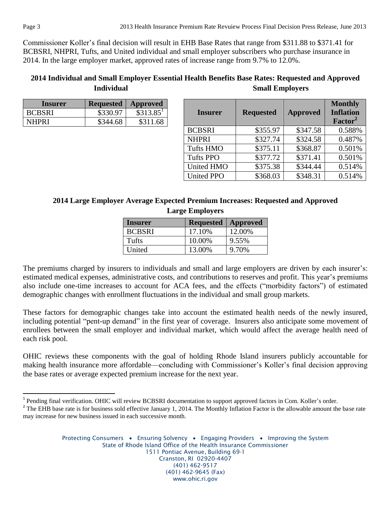Commissioner Koller's final decision will result in EHB Base Rates that range from \$311.88 to \$371.41 for BCBSRI, NHPRI, Tufts, and United individual and small employer subscribers who purchase insurance in 2014. In the large employer market, approved rates of increase range from 9.7% to 12.0%.

# **2014 Individual and Small Employer Essential Health Benefits Base Rates: Requested and Approved Individual Small Employers**

| Insurer       | <b>Requested</b> | <b>Approved</b> |
|---------------|------------------|-----------------|
| <b>BCBSRI</b> | \$330.97         | \$313.85'       |
| NHPRI         | \$344.68         | \$311.68        |

| <b>Insurer</b>    | <b>Requested</b> | <b>Approved</b> | <b>Monthly</b><br><b>Inflation</b><br>Factor <sup>2</sup> |
|-------------------|------------------|-----------------|-----------------------------------------------------------|
| <b>BCBSRI</b>     | \$355.97         | \$347.58        | 0.588%                                                    |
| <b>NHPRI</b>      | \$327.74         | \$324.58        | 0.487%                                                    |
| <b>Tufts HMO</b>  | \$375.11         | \$368.87        | 0.501%                                                    |
| <b>Tufts PPO</b>  | \$377.72         | \$371.41        | 0.501%                                                    |
| <b>United HMO</b> | \$375.38         | \$344.44        | 0.514%                                                    |
| <b>United PPO</b> | \$368.03         | \$348.31        | 0.514%                                                    |

# **2014 Large Employer Average Expected Premium Increases: Requested and Approved Large Employers**

| <b>Insurer</b> | <b>Requested</b> | <b>Approved</b> |
|----------------|------------------|-----------------|
| <b>BCBSRI</b>  | 17.10%           | 12.00%          |
| Tufts          | 10.00%           | 9.55%           |
| United         | 13.00%           | 9.70%           |

The premiums charged by insurers to individuals and small and large employers are driven by each insurer's: estimated medical expenses, administrative costs, and contributions to reserves and profit. This year's premiums also include one-time increases to account for ACA fees, and the effects ("morbidity factors") of estimated demographic changes with enrollment fluctuations in the individual and small group markets.

These factors for demographic changes take into account the estimated health needs of the newly insured, including potential "pent-up demand" in the first year of coverage. Insurers also anticipate some movement of enrollees between the small employer and individual market, which would affect the average health need of each risk pool.

OHIC reviews these components with the goal of holding Rhode Island insurers publicly accountable for making health insurance more affordable—concluding with Commissioner's Koller's final decision approving the base rates or average expected premium increase for the next year.

 $\overline{\phantom{a}}$ 

<sup>&</sup>lt;sup>1</sup> Pending final verification. OHIC will review BCBSRI documentation to support approved factors in Com. Koller's order.

<sup>&</sup>lt;sup>2</sup> The EHB base rate is for business sold effective January 1, 2014. The Monthly Inflation Factor is the allowable amount the base rate may increase for new business issued in each successive month.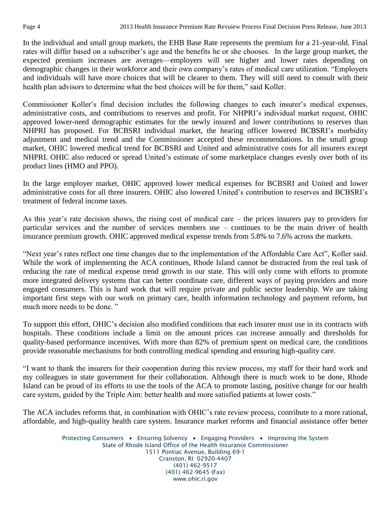In the individual and small group markets, the EHB Base Rate represents the premium for a 21-year-old. Final rates will differ based on a subscriber's age and the benefits he or she chooses. In the large group market, the expected premium increases are averages—employers will see higher and lower rates depending on demographic changes in their workforce and their own company's rates of medical care utilization. "Employers and individuals will have more choices that will be clearer to them. They will still need to consult with their health plan advisors to determine what the best choices will be for them," said Koller.

Commissioner Koller's final decision includes the following changes to each insurer's medical expenses, administrative costs, and contributions to reserves and profit. For NHPRI's individual market request, OHIC approved lower-need demographic estimates for the newly insured and lower contributions to reserves than NHPRI has proposed. For BCBSRI individual market, the hearing officer lowered BCBSRI's morbidity adjustment and medical trend and the Commissioner accepted these recommendations. In the small group market, OHIC lowered medical trend for BCBSRI and United and administrative costs for all insurers except NHPRI. OHIC also reduced or spread United's estimate of some marketplace changes evenly over both of its product lines (HMO and PPO).

In the large employer market, OHIC approved lower medical expenses for BCBSRI and United and lower administrative costs for all three insurers. OHIC also lowered United's contribution to reserves and BCBSRI's treatment of federal income taxes.

As this year's rate decision shows, the rising cost of medical care – the prices insurers pay to providers for particular services and the number of services members use – continues to be the main driver of health insurance premium growth. OHIC approved medical expense trends from 5.8% to 7.6% across the markets.

"Next year's rates reflect one time changes due to the implementation of the Affordable Care Act", Koller said. While the work of implementing the ACA continues, Rhode Island cannot be distracted from the real task of reducing the rate of medical expense trend growth in our state. This will only come with efforts to promote more integrated delivery systems that can better coordinate care, different ways of paying providers and more engaged consumers. This is hard work that will require private and public sector leadership. We are taking important first steps with our work on primary care, health information technology and payment reform, but much more needs to be done."

To support this effort, OHIC's decision also modified conditions that each insurer must use in its contracts with hospitals. These conditions include a limit on the amount prices can increase annually and thresholds for quality-based performance incentives. With more than 82% of premium spent on medical care, the conditions provide reasonable mechanisms for both controlling medical spending and ensuring high-quality care.

"I want to thank the insurers for their cooperation during this review process, my staff for their hard work and my colleagues in state government for their collaboration. Although there is much work to be done, Rhode Island can be proud of its efforts to use the tools of the ACA to promote lasting, positive change for our health care system, guided by the Triple Aim: better health and more satisfied patients at lower costs."

The ACA includes reforms that, in combination with OHIC's rate review process, contribute to a more rational, affordable, and high-quality health care system. Insurance market reforms and financial assistance offer better

> Protecting Consumers • Ensuring Solvency • Engaging Providers • Improving the System State of Rhode Island Office of the Health Insurance Commissioner 1511 Pontiac Avenue, Building 69-1 Cranston, RI 02920-4407 (401) 462-9517 (401) 462-9645 (Fax) www.ohic.ri.gov